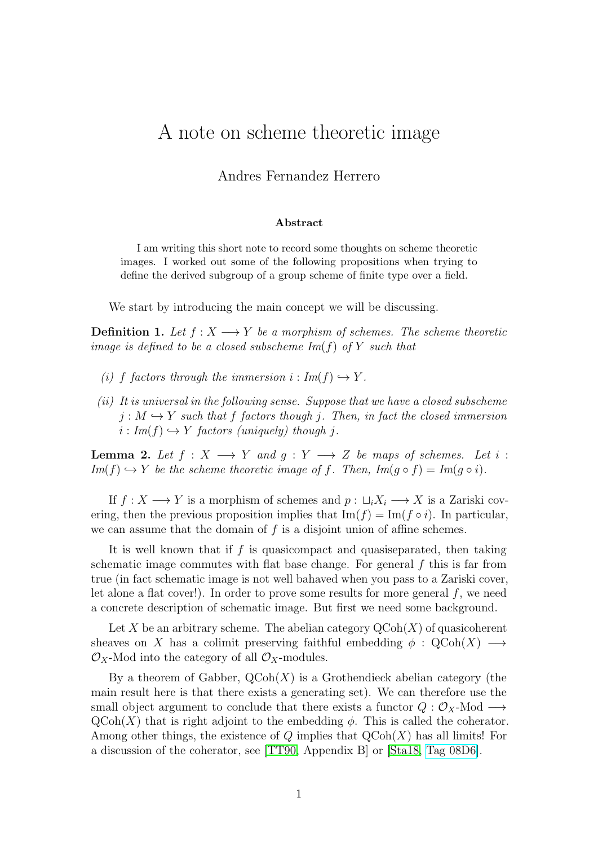## A note on scheme theoretic image

## Andres Fernandez Herrero

## Abstract

I am writing this short note to record some thoughts on scheme theoretic images. I worked out some of the following propositions when trying to define the derived subgroup of a group scheme of finite type over a field.

We start by introducing the main concept we will be discussing.

**Definition 1.** Let  $f: X \longrightarrow Y$  be a morphism of schemes. The scheme theoretic image is defined to be a closed subscheme  $Im(f)$  of Y such that

- (i) f factors through the immersion  $i : Im(f) \hookrightarrow Y$ .
- $(ii)$  It is universal in the following sense. Suppose that we have a closed subscheme  $j: M \hookrightarrow Y$  such that f factors though j. Then, in fact the closed immersion  $i: Im(f) \hookrightarrow Y$  factors (uniquely) though j.

**Lemma 2.** Let  $f : X \longrightarrow Y$  and  $g : Y \longrightarrow Z$  be maps of schemes. Let i :  $Im(f) \hookrightarrow Y$  be the scheme theoretic image of f. Then,  $Im(g \circ f) = Im(g \circ i)$ .

If  $f: X \longrightarrow Y$  is a morphism of schemes and  $p: \sqcup_i X_i \longrightarrow X$  is a Zariski covering, then the previous proposition implies that  $\text{Im}(f) = \text{Im}(f \circ i)$ . In particular, we can assume that the domain of  $f$  is a disjoint union of affine schemes.

It is well known that if f is quasicompact and quasiseparated, then taking schematic image commutes with flat base change. For general  $f$  this is far from true (in fact schematic image is not well bahaved when you pass to a Zariski cover, let alone a flat cover!). In order to prove some results for more general  $f$ , we need a concrete description of schematic image. But first we need some background.

Let X be an arbitrary scheme. The abelian category  $\mathrm{QCoh}(X)$  of quasicoherent sheaves on X has a colimit preserving faithful embedding  $\phi : \mathcal{Q}(\text{Coh}(X) \longrightarrow$  $\mathcal{O}_X$ -Mod into the category of all  $\mathcal{O}_X$ -modules.

By a theorem of Gabber,  $Q\text{Coh}(X)$  is a Grothendieck abelian category (the main result here is that there exists a generating set). We can therefore use the small object argument to conclude that there exists a functor  $Q : \mathcal{O}_X$ -Mod  $\longrightarrow$  $\mathrm{QCoh}(X)$  that is right adjoint to the embedding  $\phi$ . This is called the coherator. Among other things, the existence of  $Q$  implies that  $Q\text{Coh}(X)$  has all limits! For a discussion of the coherator, see [\[TT90,](#page-2-0) Appendix B] or [\[Sta18,](#page-2-1) [Tag 08D6\]](https://stacks.math.columbia.edu/tag/08D6).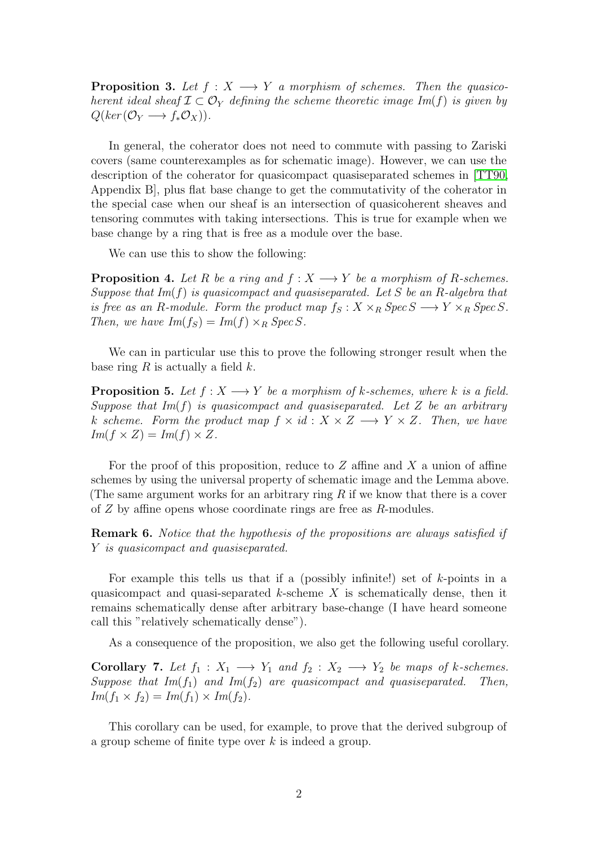**Proposition 3.** Let  $f : X \longrightarrow Y$  a morphism of schemes. Then the quasicoherent ideal sheaf  $\mathcal{I} \subset \mathcal{O}_Y$  defining the scheme theoretic image Im(f) is given by  $Q(ker(\mathcal{O}_Y \longrightarrow f_*\mathcal{O}_X)).$ 

In general, the coherator does not need to commute with passing to Zariski covers (same counterexamples as for schematic image). However, we can use the description of the coherator for quasicompact quasiseparated schemes in [\[TT90,](#page-2-0) Appendix B], plus flat base change to get the commutativity of the coherator in the special case when our sheaf is an intersection of quasicoherent sheaves and tensoring commutes with taking intersections. This is true for example when we base change by a ring that is free as a module over the base.

We can use this to show the following:

**Proposition 4.** Let R be a ring and  $f: X \longrightarrow Y$  be a morphism of R-schemes. Suppose that  $Im(f)$  is quasicompact and quasiseparated. Let S be an R-algebra that is free as an R-module. Form the product map  $f_S: X \times_R \text{Spec } S \longrightarrow Y \times_R \text{Spec } S$ . Then, we have  $Im(f_S) = Im(f) \times_R Spec S$ .

We can in particular use this to prove the following stronger result when the base ring  $R$  is actually a field  $k$ .

**Proposition 5.** Let  $f : X \longrightarrow Y$  be a morphism of k-schemes, where k is a field. Suppose that  $Im(f)$  is quasicompact and quasiseparated. Let Z be an arbitrary k scheme. Form the product map  $f \times id : X \times Z \longrightarrow Y \times Z$ . Then, we have  $Im(f \times Z) = Im(f) \times Z$ .

For the proof of this proposition, reduce to  $Z$  affine and  $X$  a union of affine schemes by using the universal property of schematic image and the Lemma above. (The same argument works for an arbitrary ring  $R$  if we know that there is a cover of Z by affine opens whose coordinate rings are free as R-modules.

Remark 6. Notice that the hypothesis of the propositions are always satisfied if Y is quasicompact and quasiseparated.

For example this tells us that if a (possibly infinite!) set of  $k$ -points in a quasicompact and quasi-separated k-scheme  $X$  is schematically dense, then it remains schematically dense after arbitrary base-change (I have heard someone call this "relatively schematically dense").

As a consequence of the proposition, we also get the following useful corollary.

**Corollary 7.** Let  $f_1 : X_1 \longrightarrow Y_1$  and  $f_2 : X_2 \longrightarrow Y_2$  be maps of k-schemes. Suppose that  $Im(f_1)$  and  $Im(f_2)$  are quasicompact and quasiseparated. Then,  $Im(f_1 \times f_2) = Im(f_1) \times Im(f_2).$ 

This corollary can be used, for example, to prove that the derived subgroup of a group scheme of finite type over  $k$  is indeed a group.